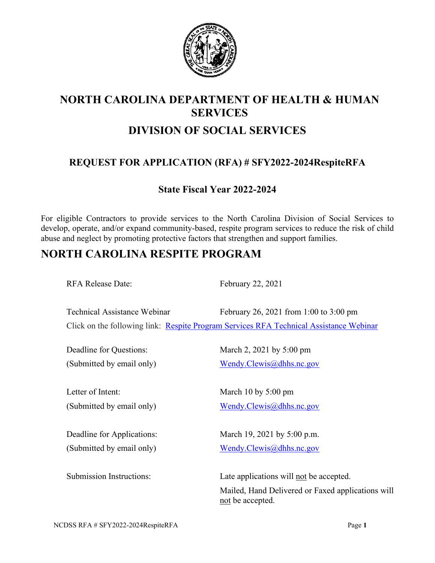

# **NORTH CAROLINA DEPARTMENT OF HEALTH & HUMAN SERVICES DIVISION OF SOCIAL SERVICES**

## **REQUEST FOR APPLICATION (RFA) # SFY2022-2024RespiteRFA**

## **State Fiscal Year 2022-2024**

For eligible Contractors to provide services to the North Carolina Division of Social Services to develop, operate, and/or expand community-based, respite program services to reduce the risk of child abuse and neglect by promoting protective factors that strengthen and support families.

## **NORTH CAROLINA RESPITE PROGRAM**

RFA Release Date: February 22, 2021

Technical Assistance Webinar February 26, 2021 from 1:00 to 3:00 pm Click on the following link: [Respite Program Services RFA Technical](https://teams.microsoft.com/l/meetup-join/19%3ameeting_MzMyOGQ0ZmEtYWUxNi00YWMwLWFkYzYtZjJmY2Y1NjI4NGNh%40thread.v2/0?context=%7b%22Tid%22%3a%227a7681dc-b9d0-449a-85c3-ecc26cd7ed19%22%2c%22Oid%22%3a%2236f3f232-3b29-4330-b08a-fe45f4a03d1d%22%7d) Assistance Webinar

Deadline for Questions: March 2, 2021 by 5:00 pm (Submitted by email only) [Wendy.Clewis@dhhs.nc.gov](mailto:Wendy.Clewis@dhhs.nc.gov) Letter of Intent: March 10 by 5:00 pm (Submitted by email only) [Wendy.Clewis@dhhs.nc.gov](mailto:Wendy.Clewis@dhhs.nc.gov) Deadline for Applications: March 19, 2021 by 5:00 p.m. (Submitted by email only) [Wendy.Clewis@dhhs.nc.gov](mailto:Wendy.Clewis@dhhs.nc.gov) Submission Instructions: Late applications will not be accepted. Mailed, Hand Delivered or Faxed applications will not be accepted.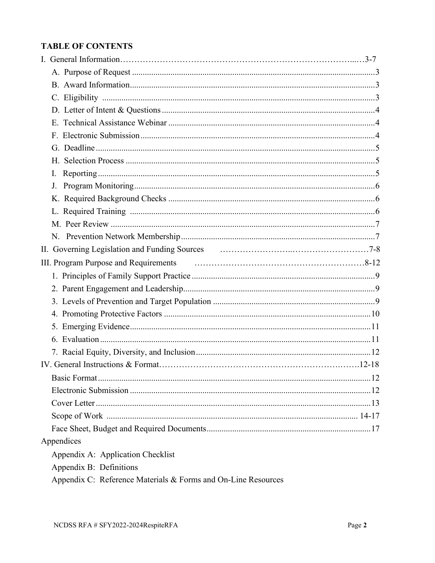## **TABLE OF CONTENTS**

|  | I.                                                            |  |
|--|---------------------------------------------------------------|--|
|  | J.                                                            |  |
|  |                                                               |  |
|  |                                                               |  |
|  |                                                               |  |
|  |                                                               |  |
|  |                                                               |  |
|  |                                                               |  |
|  |                                                               |  |
|  |                                                               |  |
|  |                                                               |  |
|  |                                                               |  |
|  |                                                               |  |
|  |                                                               |  |
|  |                                                               |  |
|  |                                                               |  |
|  |                                                               |  |
|  |                                                               |  |
|  |                                                               |  |
|  |                                                               |  |
|  |                                                               |  |
|  | Appendices                                                    |  |
|  | Appendix A: Application Checklist                             |  |
|  | Appendix B: Definitions                                       |  |
|  | Appendix C: Reference Materials & Forms and On-Line Resources |  |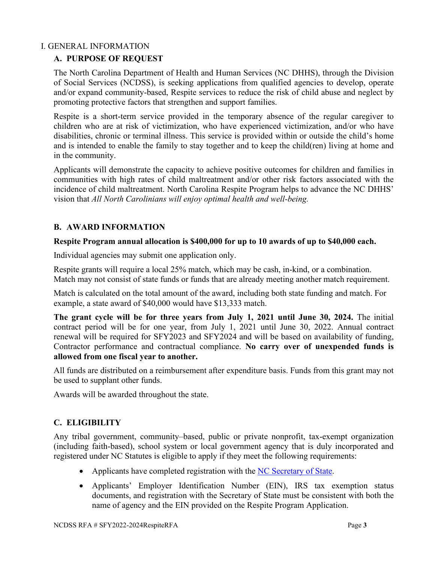#### I. GENERAL INFORMATION

## **A. PURPOSE OF REQUEST**

The North Carolina Department of Health and Human Services (NC DHHS), through the Division of Social Services (NCDSS), is seeking applications from qualified agencies to develop, operate and/or expand community-based, Respite services to reduce the risk of child abuse and neglect by promoting protective factors that strengthen and support families.

Respite is a short-term service provided in the temporary absence of the regular caregiver to children who are at risk of victimization, who have experienced victimization, and/or who have disabilities, chronic or terminal illness. This service is provided within or outside the child's home and is intended to enable the family to stay together and to keep the child(ren) living at home and in the community.

Applicants will demonstrate the capacity to achieve positive outcomes for children and families in communities with high rates of child maltreatment and/or other risk factors associated with the incidence of child maltreatment. North Carolina Respite Program helps to advance the NC DHHS' vision that *All North Carolinians will enjoy optimal health and well-being.*

#### **B. AWARD INFORMATION**

#### **Respite Program annual allocation is \$400,000 for up to 10 awards of up to \$40,000 each.**

Individual agencies may submit one application only.

Respite grants will require a local 25% match, which may be cash, in-kind, or a combination. Match may not consist of state funds or funds that are already meeting another match requirement.

Match is calculated on the total amount of the award, including both state funding and match. For example, a state award of \$40,000 would have \$13,333 match.

**The grant cycle will be for three years from July 1, 2021 until June 30, 2024.** The initial contract period will be for one year, from July 1, 2021 until June 30, 2022. Annual contract renewal will be required for SFY2023 and SFY2024 and will be based on availability of funding, Contractor performance and contractual compliance. **No carry over of unexpended funds is allowed from one fiscal year to another.** 

All funds are distributed on a reimbursement after expenditure basis. Funds from this grant may not be used to supplant other funds.

Awards will be awarded throughout the state.

#### **C. ELIGIBILITY**

Any tribal government, community–based, public or private nonprofit, tax-exempt organization (including faith-based), school system or local government agency that is duly incorporated and registered under NC Statutes is eligible to apply if they meet the following requirements:

- Applicants have completed registration with the [NC Secretary of State.](https://www.sosnc.gov/Guides/launching_a_business)
- Applicants' Employer Identification Number (EIN), IRS tax exemption status documents, and registration with the Secretary of State must be consistent with both the name of agency and the EIN provided on the Respite Program Application.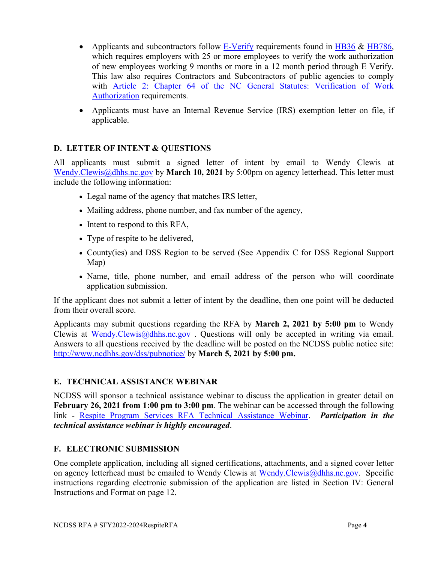- Applicants and subcontractors follow  $E$ -Verify requirements found in  $H\rightarrow$   $B36 \& H\rightarrow$   $B786$ , which requires employers with 25 or more employees to verify the work authorization of new employees working 9 months or more in a 12 month period through E Verify. This law also requires Contractors and Subcontractors of public agencies to comply with Article [2: Chapter 64 of the NC](http://www.ncleg.net/EnactedLegislation/Statutes/HTML/ByArticle/Chapter_64/Article_2.html) General Statutes: Verification of Work [Authorization](http://www.ncleg.net/EnactedLegislation/Statutes/HTML/ByArticle/Chapter_64/Article_2.html) requirements.
- Applicants must have an Internal Revenue Service (IRS) exemption letter on file, if applicable.

## **D. LETTER OF INTENT & QUESTIONS**

All applicants must submit a signed letter of intent by email to Wendy Clewis at [Wendy.Clewis@dhhs.nc.gov](mailto:Wendy.Clewis@dhhs.nc.gov) by **March 10, 2021** by 5:00pm on agency letterhead. This letter must include the following information:

- Legal name of the agency that matches IRS letter,
- Mailing address, phone number, and fax number of the agency,
- Intent to respond to this RFA,
- Type of respite to be delivered,
- County(ies) and DSS Region to be served (See Appendix C for DSS Regional Support Map)
- Name, title, phone number, and email address of the person who will coordinate application submission.

If the applicant does not submit a letter of intent by the deadline, then one point will be deducted from their overall score.

Applicants may submit questions regarding the RFA by **March 2, 2021 by 5:00 pm** to Wendy Clewis at [Wendy.Clewis@dhhs.nc.gov](mailto:Wendy.Clewis@dhhs.nc.gov) . Questions will only be accepted in writing via email. Answers to all questions received by the deadline will be posted on the NCDSS public notice site: <http://www.ncdhhs.gov/dss/pubnotice/> by **March 5, 2021 by 5:00 pm.**

#### **E. TECHNICAL ASSISTANCE WEBINAR**

NCDSS will sponsor a technical assistance webinar to discuss the application in greater detail on **February 26, 2021 from 1:00 pm to 3:00 pm**. The webinar can be accessed through the following link - [Respite Program Services RFA Technical](https://teams.microsoft.com/l/meetup-join/19%3ameeting_MzMyOGQ0ZmEtYWUxNi00YWMwLWFkYzYtZjJmY2Y1NjI4NGNh%40thread.v2/0?context=%7b%22Tid%22%3a%227a7681dc-b9d0-449a-85c3-ecc26cd7ed19%22%2c%22Oid%22%3a%2236f3f232-3b29-4330-b08a-fe45f4a03d1d%22%7d) Assistance Webinar. *Participation in the technical assistance webinar is highly encouraged*.

#### **F. ELECTRONIC SUBMISSION**

One complete application, including all signed certifications, attachments, and a signed cover letter on agency letterhead must be emailed to Wendy Clewis at [Wendy.Clewis@dhhs.nc.gov.](mailto:Wendy.Clewis@dhhs.nc.gov) Specific instructions regarding electronic submission of the application are listed in Section IV: General Instructions and Format on page 12.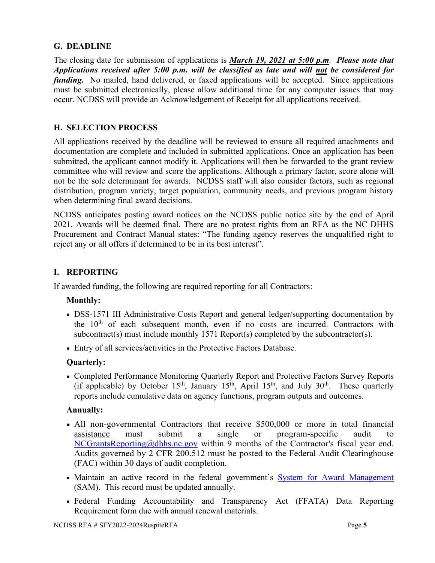#### **G. DEADLINE**

The closing date for submission of applications is *March 19, 2021 at 5:00 p.m. Please note that Applications received after 5:00 p.m. will be classified as late and will not be considered for funding.* No mailed, hand delivered, or faxed applications will be accepted. Since applications must be submitted electronically, please allow additional time for any computer issues that may occur. NCDSS will provide an Acknowledgement of Receipt for all applications received.

#### **H. SELECTION PROCESS**

All applications received by the deadline will be reviewed to ensure all required attachments and documentation are complete and included in submitted applications. Once an application has been submitted, the applicant cannot modify it. Applications will then be forwarded to the grant review committee who will review and score the applications. Although a primary factor, score alone will not be the sole determinant for awards. NCDSS staff will also consider factors, such as regional distribution, program variety, target population, community needs, and previous program history when determining final award decisions.

NCDSS anticipates posting award notices on the NCDSS public notice site by the end of April 2021. Awards will be deemed final. There are no protest rights from an RFA as the NC DHHS Procurement and Contract Manual states: "The funding agency reserves the unqualified right to reject any or all offers if determined to be in its best interest".

#### **I. REPORTING**

If awarded funding, the following are required reporting for all Contractors:

#### **Monthly:**

- DSS-1571 III Administrative Costs Report and general ledger/supporting documentation by the  $10<sup>th</sup>$  of each subsequent month, even if no costs are incurred. Contractors with subcontract(s) must include monthly 1571 Report(s) completed by the subcontractor(s).
- Entry of all services/activities in the Protective Factors Database.

#### **Quarterly:**

• Completed Performance Monitoring Quarterly Report and Protective Factors Survey Reports (if applicable) by October 15<sup>th</sup>, January 15<sup>th</sup>, April 15<sup>th</sup>, and July 30<sup>th</sup>. These quarterly reports include cumulative data on agency functions, program outputs and outcomes.

#### **Annually:**

- All non-governmental Contractors that receive \$500,000 or more in total financial assistance must submit a single or program-specific audit to NCGrantsReporting@dhhs.nc.gov within 9 months of the Contractor's fiscal year end. Audits governed by 2 CFR 200.512 must be posted to the Federal Audit Clearinghouse (FAC) within 30 days of audit completion.
- Maintain an active record in the federal government's System for [Award Management](https://www.sam.gov/SAM/) (SAM).This record must be updated annually.
- Federal Funding Accountability and Transparency Act (FFATA) Data Reporting Requirement form due with annual renewal materials.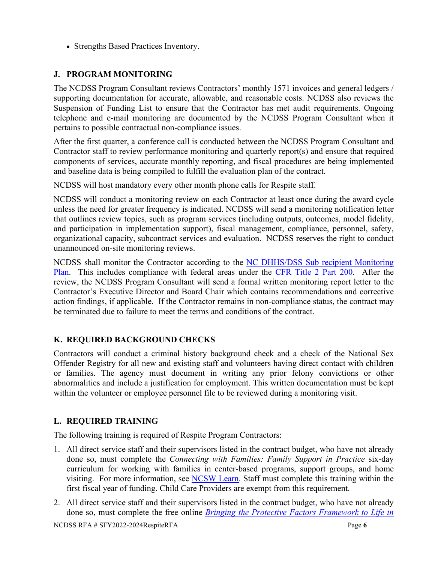• Strengths Based Practices Inventory.

## **J. PROGRAM MONITORING**

The NCDSS Program Consultant reviews Contractors' monthly 1571 invoices and general ledgers / supporting documentation for accurate, allowable, and reasonable costs. NCDSS also reviews the Suspension of Funding List to ensure that the Contractor has met audit requirements. Ongoing telephone and e-mail monitoring are documented by the NCDSS Program Consultant when it pertains to possible contractual non-compliance issues.

After the first quarter, a conference call is conducted between the NCDSS Program Consultant and Contractor staff to review performance monitoring and quarterly report(s) and ensure that required components of services, accurate monthly reporting, and fiscal procedures are being implemented and baseline data is being compiled to fulfill the evaluation plan of the contract.

NCDSS will host mandatory every other month phone calls for Respite staff.

NCDSS will conduct a monitoring review on each Contractor at least once during the award cycle unless the need for greater frequency is indicated. NCDSS will send a monitoring notification letter that outlines review topics, such as program services (including outputs, outcomes, model fidelity, and participation in implementation support), fiscal management, compliance, personnel, safety, organizational capacity, subcontract services and evaluation. NCDSS reserves the right to conduct unannounced on-site monitoring reviews.

NCDSS shall monitor the Contractor according to the NC DHHS/DSS Sub recipient Monitoring [Plan.](https://files.nc.gov/ncdhhs/documents/files/dss/monitoring/NC-DSS-Sub-Recipient-Contract-Monitoring-Plan-2015-2016-DRAFT.pdf) This includes compliance with federal areas under the CFR Title [2 Part 200.](http://www.ecfr.gov/cgi-bin/text-idx?tpl=/ecfrbrowse/Title02/2cfr200_main_02.tpl) After the review, the NCDSS Program Consultant will send a formal written monitoring report letter to the Contractor's Executive Director and Board Chair which contains recommendations and corrective action findings, if applicable. If the Contractor remains in non-compliance status, the contract may be terminated due to failure to meet the terms and conditions of the contract.

## **K. REQUIRED BACKGROUND CHECKS**

Contractors will conduct a criminal history background check and a check of the National Sex Offender Registry for all new and existing staff and volunteers having direct contact with children or families. The agency must document in writing any prior felony convictions or other abnormalities and include a justification for employment. This written documentation must be kept within the volunteer or employee personnel file to be reviewed during a monitoring visit.

## **L. REQUIRED TRAINING**

The following training is required of Respite Program Contractors:

- 1. All direct service staff and their supervisors listed in the contract budget, who have not already done so, must complete the *Connecting with Families: Family Support in Practice* six-day curriculum for working with families in center-based programs, support groups, and home visiting. For more information, see [NCSW Learn.](https://www.ncswlearn.org/) Staff must complete this training within the first fiscal year of funding. Child Care Providers are exempt from this requirement.
- 2. All direct service staff and their supervisors listed in the contract budget, who have not already done so, must complete the free online *[Bringing the Protective Factors Framework to Life in](https://ctfalliance.org/protective-factors/#OnlineTraining)*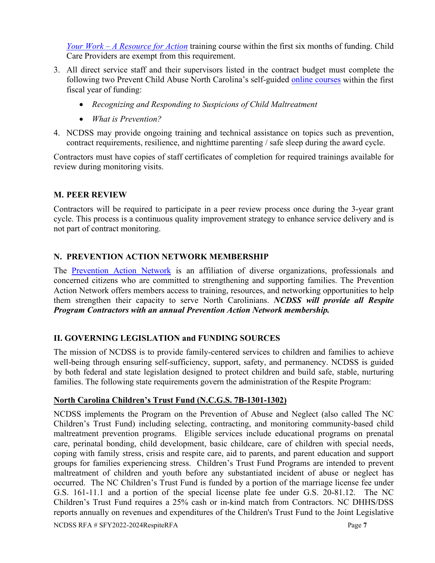*Your Work – [A Resource for Action](https://ctfalliance.org/protective-factors/#OnlineTraining)* training course within the first six months of funding. Child Care Providers are exempt from this requirement.

- 3. All direct service staff and their supervisors listed in the contract budget must complete the following two Prevent Child Abuse North Carolina's self-guided [online courses](https://www.preventchildabusenc.org/online-trainings/) within the first fiscal year of funding:
	- *Recognizing and Responding to Suspicions of Child Maltreatment*
	- *What is Prevention?*
- 4. NCDSS may provide ongoing training and technical assistance on topics such as prevention, contract requirements, resilience, and nighttime parenting / safe sleep during the award cycle.

Contractors must have copies of staff certificates of completion for required trainings available for review during monitoring visits.

## **M. PEER REVIEW**

Contractors will be required to participate in a peer review process once during the 3-year grant cycle. This process is a continuous quality improvement strategy to enhance service delivery and is not part of contract monitoring.

## **N. PREVENTION ACTION NETWORK MEMBERSHIP**

The [Prevention Action Network](https://www.preventchildabusenc.org/what-you-can-do/prevention-action-network/#:%7E:text=The%20Prevention%20Action%20Network%20is,for%20all%20North%20Carolina%20children.) is an affiliation of diverse organizations, professionals and concerned citizens who are committed to strengthening and supporting families. The Prevention Action Network offers members access to training, resources, and networking opportunities to help them strengthen their capacity to serve North Carolinians. *NCDSS will provide all Respite Program Contractors with an annual Prevention Action Network membership.*

## **II. GOVERNING LEGISLATION and FUNDING SOURCES**

The mission of NCDSS is to provide family-centered services to children and families to achieve well-being through ensuring self-sufficiency, support, safety, and permanency. NCDSS is guided by both federal and state legislation designed to protect children and build safe, stable, nurturing families. The following state requirements govern the administration of the Respite Program:

#### **North Carolina Children's Trust Fund (N.C.G.S. 7B-1301-1302)**

NCDSS implements the Program on the Prevention of Abuse and Neglect (also called The NC Children's Trust Fund) including selecting, contracting, and monitoring community-based child maltreatment prevention programs. Eligible services include educational programs on prenatal care, perinatal bonding, child development, basic childcare, care of children with special needs, coping with family stress, crisis and respite care, aid to parents, and parent education and support groups for families experiencing stress. Children's Trust Fund Programs are intended to prevent maltreatment of children and youth before any substantiated incident of abuse or neglect has occurred. The NC Children's Trust Fund is funded by a portion of the marriage license fee under G.S. 161-11.1 and a portion of the special license plate fee under G.S. 20-81.12. The NC Children's Trust Fund requires a 25% cash or in-kind match from Contractors. NC DHHS/DSS reports annually on revenues and expenditures of the Children's Trust Fund to the Joint Legislative

NCDSS RFA # SFY2022-2024RespiteRFA Page **7**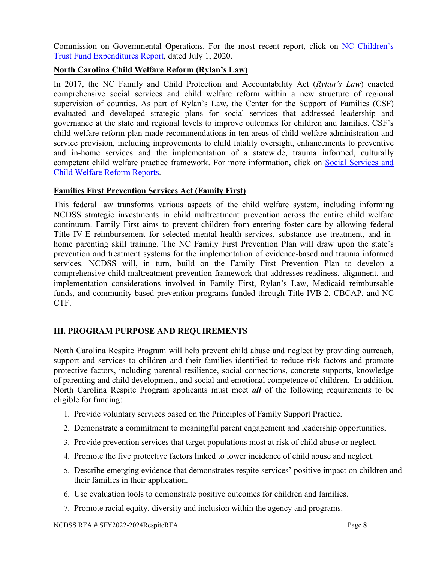Commission on Governmental Operations. For the most recent report, click on [NC Children's](https://files.nc.gov/ncdhhs/GS-7B-1302-b--Children-s-Trust-Fund-Expenditures-SFY-18-19--Final-.pdf)  [Trust Fund Expenditures](https://files.nc.gov/ncdhhs/GS-7B-1302-b--Children-s-Trust-Fund-Expenditures-SFY-18-19--Final-.pdf) Report, dated July 1, 2020.

#### **North Carolina Child Welfare Reform (Rylan's Law)**

In 2017, the NC Family and Child Protection and Accountability Act (*Rylan's Law*) enacted comprehensive social services and child welfare reform within a new structure of regional supervision of counties. As part of Rylan's Law, the Center for the Support of Families (CSF) evaluated and developed strategic plans for social services that addressed leadership and governance at the state and regional levels to improve outcomes for children and families. CSF's child welfare reform plan made recommendations in ten areas of child welfare administration and service provision, including improvements to child fatality oversight, enhancements to preventive and in-home services and the implementation of a statewide, trauma informed, culturally competent child welfare practice framework. For more information, click on [Social Services and](https://www.osbm.nc.gov/social-services-and-child-welfare-reform-reports)  [Child Welfare Reform](https://www.osbm.nc.gov/social-services-and-child-welfare-reform-reports) Reports.

## **Families First Prevention Services Act (Family First)**

This federal law transforms various aspects of the child welfare system, including informing NCDSS strategic investments in child maltreatment prevention across the entire child welfare continuum. Family First aims to prevent children from entering foster care by allowing federal Title IV-E reimbursement for selected mental health services, substance use treatment, and inhome parenting skill training. The NC Family First Prevention Plan will draw upon the state's prevention and treatment systems for the implementation of evidence-based and trauma informed services. NCDSS will, in turn, build on the Family First Prevention Plan to develop a comprehensive child maltreatment prevention framework that addresses readiness, alignment, and implementation considerations involved in Family First, Rylan's Law, Medicaid reimbursable funds, and community-based prevention programs funded through Title IVB-2, CBCAP, and NC CTF.

## **III. PROGRAM PURPOSE AND REQUIREMENTS**

North Carolina Respite Program will help prevent child abuse and neglect by providing outreach, support and services to children and their families identified to reduce risk factors and promote protective factors, including parental resilience, social connections, concrete supports, knowledge of parenting and child development, and social and emotional competence of children. In addition, North Carolina Respite Program applicants must meet *all* of the following requirements to be eligible for funding:

- 1. Provide voluntary services based on the Principles of Family Support Practice.
- 2. Demonstrate a commitment to meaningful parent engagement and leadership opportunities.
- 3. Provide prevention services that target populations most at risk of child abuse or neglect.
- 4. Promote the five protective factors linked to lower incidence of child abuse and neglect.
- 5. Describe emerging evidence that demonstrates respite services' positive impact on children and their families in their application.
- 6. Use evaluation tools to demonstrate positive outcomes for children and families.
- 7. Promote racial equity, diversity and inclusion within the agency and programs.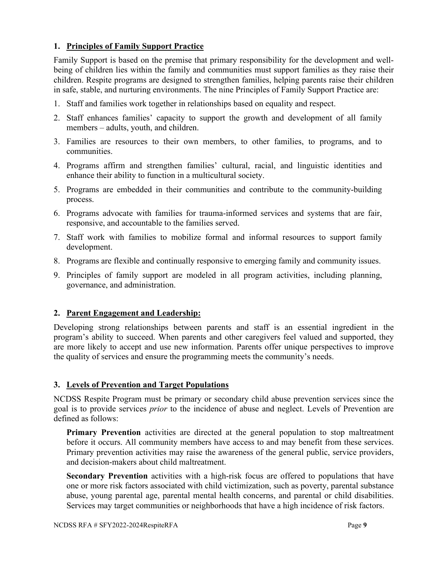#### **1. Principles of Family Support Practice**

Family Support is based on the premise that primary responsibility for the development and wellbeing of children lies within the family and communities must support families as they raise their children. Respite programs are designed to strengthen families, helping parents raise their children in safe, stable, and nurturing environments. The nine Principles of Family Support Practice are:

- 1. Staff and families work together in relationships based on equality and respect.
- 2. Staff enhances families' capacity to support the growth and development of all family members – adults, youth, and children.
- 3. Families are resources to their own members, to other families, to programs, and to communities.
- 4. Programs affirm and strengthen families' cultural, racial, and linguistic identities and enhance their ability to function in a multicultural society.
- 5. Programs are embedded in their communities and contribute to the community-building process.
- 6. Programs advocate with families for trauma-informed services and systems that are fair, responsive, and accountable to the families served.
- 7. Staff work with families to mobilize formal and informal resources to support family development.
- 8. Programs are flexible and continually responsive to emerging family and community issues.
- 9. Principles of family support are modeled in all program activities, including planning, governance, and administration.

## **2. Parent Engagement and Leadership:**

Developing strong relationships between parents and staff is an essential ingredient in the program's ability to succeed. When parents and other caregivers feel valued and supported, they are more likely to accept and use new information. Parents offer unique perspectives to improve the quality of services and ensure the programming meets the community's needs.

## **3. Levels of Prevention and Target Populations**

NCDSS Respite Program must be primary or secondary child abuse prevention services since the goal is to provide services *prior* to the incidence of abuse and neglect. Levels of Prevention are defined as follows:

**Primary Prevention** activities are directed at the general population to stop maltreatment before it occurs. All community members have access to and may benefit from these services. Primary prevention activities may raise the awareness of the general public, service providers, and decision-makers about child maltreatment.

**Secondary Prevention** activities with a high-risk focus are offered to populations that have one or more risk factors associated with child victimization, such as poverty, parental substance abuse, young parental age, parental mental health concerns, and parental or child disabilities. Services may target communities or neighborhoods that have a high incidence of risk factors.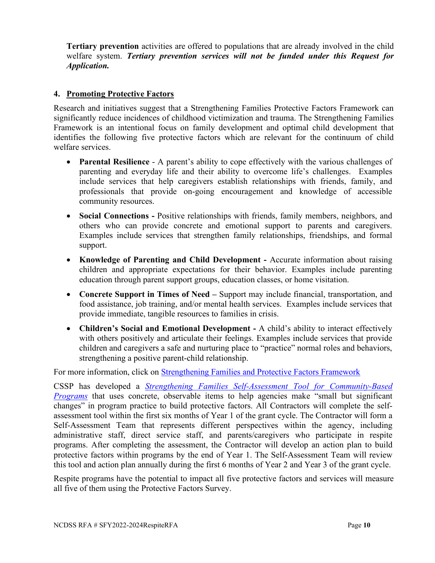**Tertiary prevention** activities are offered to populations that are already involved in the child welfare system. *Tertiary prevention services will not be funded under this Request for Application.*

#### **4. Promoting Protective Factors**

Research and initiatives suggest that a Strengthening Families Protective Factors Framework can significantly reduce incidences of childhood victimization and trauma. The Strengthening Families Framework is an intentional focus on family development and optimal child development that identifies the following five protective factors which are relevant for the continuum of child welfare services.

- **Parental Resilience** A parent's ability to cope effectively with the various challenges of parenting and everyday life and their ability to overcome life's challenges. Examples include services that help caregivers establish relationships with friends, family, and professionals that provide on-going encouragement and knowledge of accessible community resources.
- **Social Connections -** Positive relationships with friends, family members, neighbors, and others who can provide concrete and emotional support to parents and caregivers. Examples include services that strengthen family relationships, friendships, and formal support.
- **Knowledge of Parenting and Child Development -** Accurate information about raising children and appropriate expectations for their behavior. Examples include parenting education through parent support groups, education classes, or home visitation.
- **Concrete Support in Times of Need –** Support may include financial, transportation, and food assistance, job training, and/or mental health services. Examples include services that provide immediate, tangible resources to families in crisis.
- **Children's Social and Emotional Development -** A child's ability to interact effectively with others positively and articulate their feelings. Examples include services that provide children and caregivers a safe and nurturing place to "practice" normal roles and behaviors, strengthening a positive parent-child relationship.

For more information, click on [Strengthening Families and Protective Factors Framework](https://cssp.org/resource/about-strengthening-families-and-the-protective-factors-framework/)

CSSP has developed a *Strengthening Families [Self-Assessment Tool for Community-Based](https://cssp.org/our-work/projects/self-assessments-for-programs/)  [Programs](https://cssp.org/our-work/projects/self-assessments-for-programs/)* that uses concrete, observable items to help agencies make "small but significant" changes" in program practice to build protective factors. All Contractors will complete the selfassessment tool within the first six months of Year 1 of the grant cycle. The Contractor will form a Self-Assessment Team that represents different perspectives within the agency, including administrative staff, direct service staff, and parents/caregivers who participate in respite programs. After completing the assessment, the Contractor will develop an action plan to build protective factors within programs by the end of Year 1. The Self-Assessment Team will review this tool and action plan annually during the first 6 months of Year 2 and Year 3 of the grant cycle.

Respite programs have the potential to impact all five protective factors and services will measure all five of them using the Protective Factors Survey.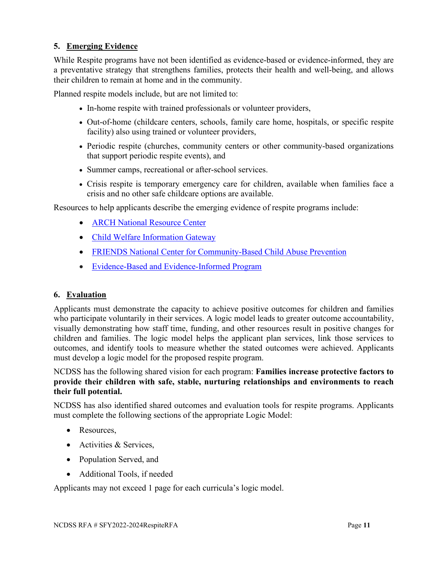#### **5. Emerging Evidence**

While Respite programs have not been identified as evidence-based or evidence-informed, they are a preventative strategy that strengthens families, protects their health and well-being, and allows their children to remain at home and in the community.

Planned respite models include, but are not limited to:

- In-home respite with trained professionals or volunteer providers,
- Out-of-home (childcare centers, schools, family care home, hospitals, or specific respite facility) also using trained or volunteer providers,
- Periodic respite (churches, community centers or other community-based organizations that support periodic respite events), and
- Summer camps, recreational or after-school services.
- Crisis respite is temporary emergency care for children, available when families face a crisis and no other safe childcare options are available.

Resources to help applicants describe the emerging evidence of respite programs include:

- ARCH [National Resource Center](http://www.archrespite.org/)
- [Child Welfare Information Gateway](http://www.childwelfare.gov/topics/preventing/prevention-programs/respite)
- [FRIENDS National Center for Community-Based Child Abuse Prevention](https://friendsnrc.org/prevention/respite/)
- Evidence-Based [and Evidence-Informed Program](https://friendsnrc.org/evidence-based-practice-in-cbcap/types-of-evidence)

#### **6. Evaluation**

Applicants must demonstrate the capacity to achieve positive outcomes for children and families who participate voluntarily in their services. A logic model leads to greater outcome accountability, visually demonstrating how staff time, funding, and other resources result in positive changes for children and families. The logic model helps the applicant plan services, link those services to outcomes, and identify tools to measure whether the stated outcomes were achieved. Applicants must develop a logic model for the proposed respite program.

NCDSS has the following shared vision for each program: **Families increase protective factors to provide their children with safe, stable, nurturing relationships and environments to reach their full potential.**

NCDSS has also identified shared outcomes and evaluation tools for respite programs. Applicants must complete the following sections of the appropriate Logic Model:

- Resources.
- Activities & Services,
- Population Served, and
- Additional Tools, if needed

Applicants may not exceed 1 page for each curricula's logic model.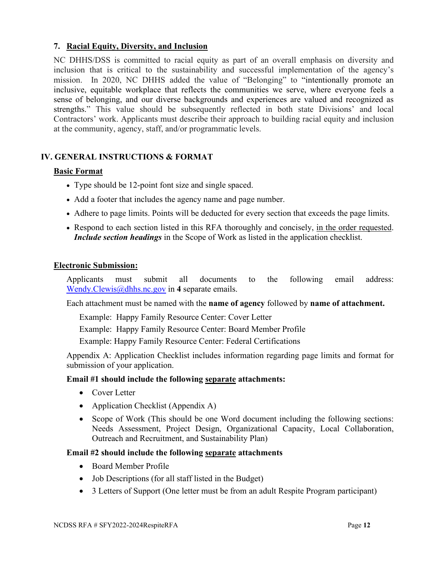#### **7. Racial Equity, Diversity, and Inclusion**

NC DHHS/DSS is committed to racial equity as part of an overall emphasis on diversity and inclusion that is critical to the sustainability and successful implementation of the agency's mission. In 2020, NC DHHS added the value of "Belonging" to "intentionally promote an inclusive, equitable workplace that reflects the communities we serve, where everyone feels a sense of belonging, and our diverse backgrounds and experiences are valued and recognized as strengths." This value should be subsequently reflected in both state Divisions' and local Contractors' work. Applicants must describe their approach to building racial equity and inclusion at the community, agency, staff, and/or programmatic levels.

## **IV. GENERAL INSTRUCTIONS & FORMAT**

#### **Basic Format**

- Type should be 12-point font size and single spaced.
- Add a footer that includes the agency name and page number.
- Adhere to page limits. Points will be deducted for every section that exceeds the page limits.
- Respond to each section listed in this RFA thoroughly and concisely, in the order requested. *Include section headings* in the Scope of Work as listed in the application checklist.

#### **Electronic Submission:**

Applicants must submit all documents to the following email address: [Wendy.Clewis@dhhs.nc.gov](mailto:Wendy.Clewis@dhhs.nc.gov) in **4** separate emails.

Each attachment must be named with the **name of agency** followed by **name of attachment.**

Example: Happy Family Resource Center: Cover Letter

Example: Happy Family Resource Center: Board Member Profile

Example: Happy Family Resource Center: Federal Certifications

Appendix A: Application Checklist includes information regarding page limits and format for submission of your application.

#### **Email #1 should include the following separate attachments:**

- Cover Letter
- Application Checklist (Appendix A)
- Scope of Work (This should be one Word document including the following sections: Needs Assessment, Project Design, Organizational Capacity, Local Collaboration, Outreach and Recruitment, and Sustainability Plan)

#### **Email #2 should include the following separate attachments**

- Board Member Profile
- Job Descriptions (for all staff listed in the Budget)
- 3 Letters of Support (One letter must be from an adult Respite Program participant)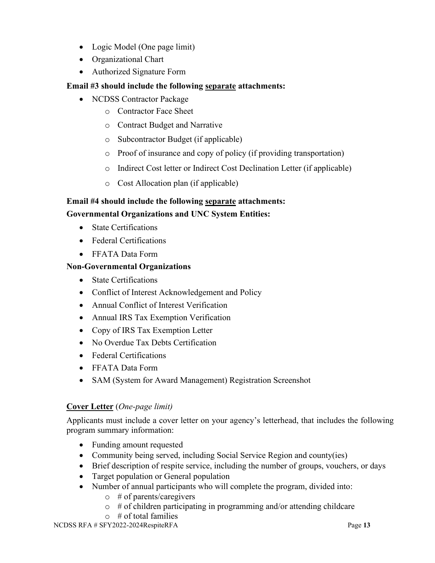- Logic Model (One page limit)
- Organizational Chart
- Authorized Signature Form

## **Email #3 should include the following separate attachments:**

- NCDSS Contractor Package
	- o Contractor Face Sheet
	- o Contract Budget and Narrative
	- o Subcontractor Budget (if applicable)
	- o Proof of insurance and copy of policy (if providing transportation)
	- o Indirect Cost letter or Indirect Cost Declination Letter (if applicable)
	- o Cost Allocation plan (if applicable)

## **Email #4 should include the following separate attachments:**

#### **Governmental Organizations and UNC System Entities:**

- **State Certifications**
- Federal Certifications
- FFATA Data Form

#### **Non-Governmental Organizations**

- State Certifications
- Conflict of Interest Acknowledgement and Policy
- Annual Conflict of Interest Verification
- Annual IRS Tax Exemption Verification
- Copy of IRS Tax Exemption Letter
- No Overdue Tax Debts Certification
- Federal Certifications
- FFATA Data Form
- SAM (System for Award Management) Registration Screenshot

#### **Cover Letter** (*One-page limit)*

Applicants must include a cover letter on your agency's letterhead, that includes the following program summary information:

- Funding amount requested
- Community being served, including Social Service Region and county(ies)
- Brief description of respite service, including the number of groups, vouchers, or days
- Target population or General population
- Number of annual participants who will complete the program, divided into:
	- o # of parents/caregivers
	- $\circ$  # of children participating in programming and/or attending childcare
	- $\circ$  # of total families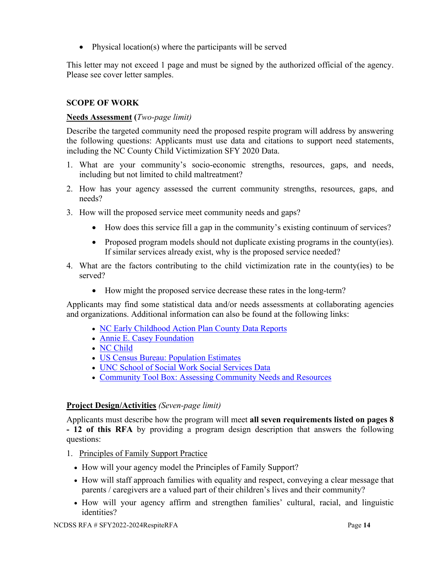Physical location(s) where the participants will be served

This letter may not exceed 1 page and must be signed by the authorized official of the agency. Please see cover letter samples.

#### **SCOPE OF WORK**

#### **Needs Assessment (***Two-page limit)*

Describe the targeted community need the proposed respite program will address by answering the following questions: Applicants must use data and citations to support need statements, including the NC County Child Victimization SFY 2020 Data.

- 1. What are your community's socio-economic strengths, resources, gaps, and needs, including but not limited to child maltreatment?
- 2. How has your agency assessed the current community strengths, resources, gaps, and needs?
- 3. How will the proposed service meet community needs and gaps?
	- How does this service fill a gap in the community's existing continuum of services?
	- Proposed program models should not duplicate existing programs in the county(ies). If similar services already exist, why is the proposed service needed?
- 4. What are the factors contributing to the child victimization rate in the county(ies) to be served?
	- How might the proposed service decrease these rates in the long-term?

Applicants may find some statistical data and/or needs assessments at collaborating agencies and organizations. Additional information can also be found at the following links:

- [NC Early Childhood Action Plan County Data Reports](https://www.ncdhhs.gov/about/department-initiatives/early-childhood/early-childhood-data/early-childhood-action-plan-county)
- [Annie E. Casey Foundation](https://www.aecf.org/)
- NC [Child](https://ncchild.org/)
- [US Census Bureau: Population Estimates](https://www.census.gov/programs-surveys/popest.html)
- [UNC School of Social Work Social Services Data](https://ssw.unc.edu/ma/)
- Community Tool Box: [Assessing Community Needs](https://ctb.ku.edu/en/table-of-contents/assessment/assessing-community-needs-and-resources) and Resources

#### **Project Design/Activities** *(Seven-page limit)*

Applicants must describe how the program will meet **all seven requirements listed on pages 8 - 12 of this RFA** by providing a program design description that answers the following questions:

- 1. Principles of Family Support Practice
	- How will your agency model the Principles of Family Support?
	- How will staff approach families with equality and respect, conveying a clear message that parents / caregivers are a valued part of their children's lives and their community?
	- How will your agency affirm and strengthen families' cultural, racial, and linguistic identities?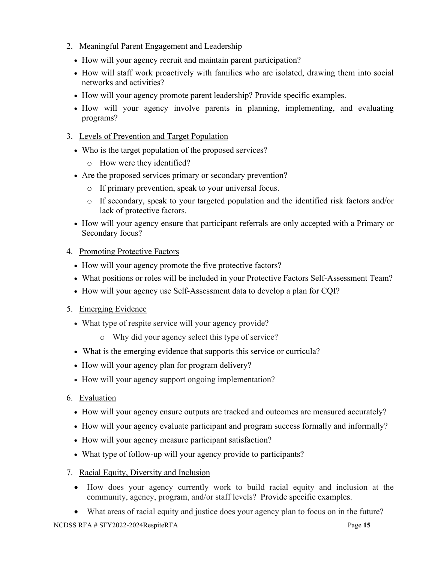- 2. Meaningful Parent Engagement and Leadership
	- How will your agency recruit and maintain parent participation?
	- How will staff work proactively with families who are isolated, drawing them into social networks and activities?
	- How will your agency promote parent leadership? Provide specific examples.
	- How will your agency involve parents in planning, implementing, and evaluating programs?
- 3. Levels of Prevention and Target Population
	- Who is the target population of the proposed services?
		- o How were they identified?
	- Are the proposed services primary or secondary prevention?
		- o If primary prevention, speak to your universal focus.
		- o If secondary, speak to your targeted population and the identified risk factors and/or lack of protective factors.
	- How will your agency ensure that participant referrals are only accepted with a Primary or Secondary focus?
- 4. Promoting Protective Factors
	- How will your agency promote the five protective factors?
	- What positions or roles will be included in your Protective Factors Self-Assessment Team?
	- How will your agency use Self-Assessment data to develop a plan for CQI?
- 5. Emerging Evidence
	- What type of respite service will your agency provide?
		- o Why did your agency select this type of service?
	- What is the emerging evidence that supports this service or curricula?
	- How will your agency plan for program delivery?
	- How will your agency support ongoing implementation?
- 6. Evaluation
	- How will your agency ensure outputs are tracked and outcomes are measured accurately?
	- How will your agency evaluate participant and program success formally and informally?
	- How will your agency measure participant satisfaction?
	- What type of follow-up will your agency provide to participants?
- 7. Racial Equity, Diversity and Inclusion
	- How does your agency currently work to build racial equity and inclusion at the community, agency, program, and/or staff levels? Provide specific examples.
	- What areas of racial equity and justice does your agency plan to focus on in the future?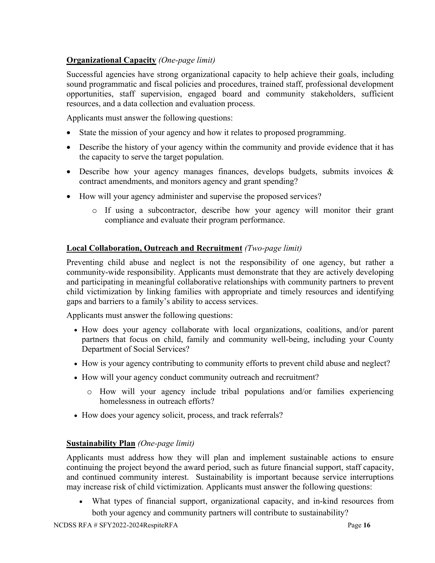## **Organizational Capacity** *(One-page limit)*

Successful agencies have strong organizational capacity to help achieve their goals, including sound programmatic and fiscal policies and procedures, trained staff, professional development opportunities, staff supervision, engaged board and community stakeholders, sufficient resources, and a data collection and evaluation process.

Applicants must answer the following questions:

- State the mission of your agency and how it relates to proposed programming.
- Describe the history of your agency within the community and provide evidence that it has the capacity to serve the target population.
- Describe how your agency manages finances, develops budgets, submits invoices & contract amendments, and monitors agency and grant spending?
- How will your agency administer and supervise the proposed services?
	- o If using a subcontractor, describe how your agency will monitor their grant compliance and evaluate their program performance.

## **Local Collaboration, Outreach and Recruitment** *(Two-page limit)*

Preventing child abuse and neglect is not the responsibility of one agency, but rather a community-wide responsibility. Applicants must demonstrate that they are actively developing and participating in meaningful collaborative relationships with community partners to prevent child victimization by linking families with appropriate and timely resources and identifying gaps and barriers to a family's ability to access services.

Applicants must answer the following questions:

- How does your agency collaborate with local organizations, coalitions, and/or parent partners that focus on child, family and community well-being, including your County Department of Social Services?
- How is your agency contributing to community efforts to prevent child abuse and neglect?
- How will your agency conduct community outreach and recruitment?
	- o How will your agency include tribal populations and/or families experiencing homelessness in outreach efforts?
- How does your agency solicit, process, and track referrals?

#### **Sustainability Plan** *(One-page limit)*

Applicants must address how they will plan and implement sustainable actions to ensure continuing the project beyond the award period, such as future financial support, staff capacity, and continued community interest. Sustainability is important because service interruptions may increase risk of child victimization. Applicants must answer the following questions:

• What types of financial support, organizational capacity, and in-kind resources from both your agency and community partners will contribute to sustainability?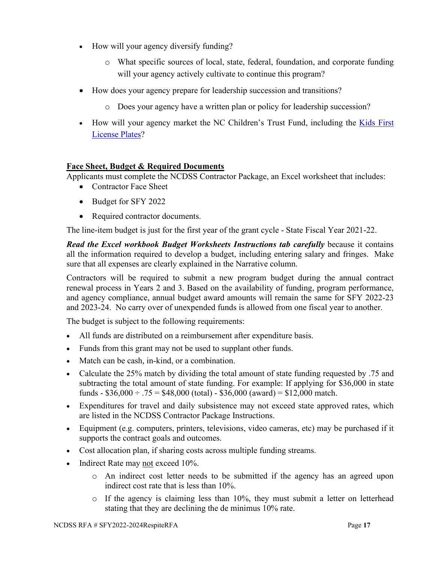- How will your agency diversify funding?
	- o What specific sources of local, state, federal, foundation, and corporate funding will your agency actively cultivate to continue this program?
- How does your agency prepare for leadership succession and transitions?
	- o Does your agency have a written plan or policy for leadership succession?
- How will your agency market the NC Children's Trust Fund, including the [Kids First](https://www.preventchildabusenc.org/what-you-can-do/kids-first-license-plates/)  [License Plates?](https://www.preventchildabusenc.org/what-you-can-do/kids-first-license-plates/)

## **Face Sheet, Budget & Required Documents**

Applicants must complete the NCDSS Contractor Package, an Excel worksheet that includes:

- Contractor Face Sheet
- Budget for SFY 2022
- Required contractor documents.

The line-item budget is just for the first year of the grant cycle - State Fiscal Year 2021-22.

*Read the Excel workbook Budget Worksheets Instructions tab carefully* because it contains all the information required to develop a budget, including entering salary and fringes. Make sure that all expenses are clearly explained in the Narrative column.

Contractors will be required to submit a new program budget during the annual contract renewal process in Years 2 and 3. Based on the availability of funding, program performance, and agency compliance, annual budget award amounts will remain the same for SFY 2022-23 and 2023-24. No carry over of unexpended funds is allowed from one fiscal year to another.

The budget is subject to the following requirements:

- All funds are distributed on a reimbursement after expenditure basis.
- Funds from this grant may not be used to supplant other funds.
- Match can be cash, in-kind, or a combination.
- Calculate the 25% match by dividing the total amount of state funding requested by .75 and subtracting the total amount of state funding. For example: If applying for \$36,000 in state funds -  $$36,000 \div .75 = $48,000$  (total) -  $$36,000$  (award) = \$12,000 match.
- Expenditures for travel and daily subsistence may not exceed state approved rates, which are listed in the NCDSS Contractor Package Instructions.
- Equipment (e.g. computers, printers, televisions, video cameras, etc) may be purchased if it supports the contract goals and outcomes.
- Cost allocation plan, if sharing costs across multiple funding streams.
- Indirect Rate may not exceed 10%.
	- o An indirect cost letter needs to be submitted if the agency has an agreed upon indirect cost rate that is less than 10%.
	- o If the agency is claiming less than 10%, they must submit a letter on letterhead stating that they are declining the de minimus 10% rate.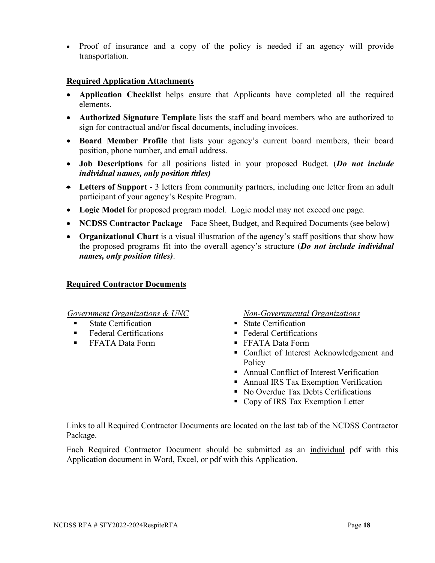• Proof of insurance and a copy of the policy is needed if an agency will provide transportation.

#### **Required Application Attachments**

- **Application Checklist** helps ensure that Applicants have completed all the required elements.
- **Authorized Signature Template** lists the staff and board members who are authorized to sign for contractual and/or fiscal documents, including invoices.
- **Board Member Profile** that lists your agency's current board members, their board position, phone number, and email address.
- **Job Descriptions** for all positions listed in your proposed Budget. (*Do not include individual names, only position titles)*
- **Letters of Support** 3 letters from community partners, including one letter from an adult participant of your agency's Respite Program.
- **Logic Model** for proposed program model. Logic model may not exceed one page.
- **NCDSS Contractor Package** Face Sheet, Budget, and Required Documents (see below)
- **Organizational Chart** is a visual illustration of the agency's staff positions that show how the proposed programs fit into the overall agency's structure (*Do not include individual names, only position titles)*.

#### **Required Contractor Documents**

*Government Organizations & UNC*

- State Certification
- Federal Certifications
- FFATA Data Form

*Non-Governmental Organizations*

- State Certification
- **Federal Certifications**
- FFATA Data Form
- Conflict of Interest Acknowledgement and **Policy**
- Annual Conflict of Interest Verification
- Annual IRS Tax Exemption Verification
- No Overdue Tax Debts Certifications
- Copy of IRS Tax Exemption Letter

Links to all Required Contractor Documents are located on the last tab of the NCDSS Contractor Package.

Each Required Contractor Document should be submitted as an individual pdf with this Application document in Word, Excel, or pdf with this Application.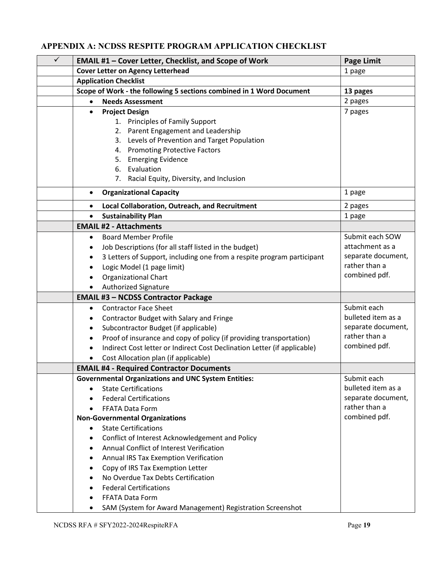## **APPENDIX A: NCDSS RESPITE PROGRAM APPLICATION CHECKLIST**

| $\checkmark$ | <b>EMAIL #1 - Cover Letter, Checklist, and Scope of Work</b>             | <b>Page Limit</b>  |
|--------------|--------------------------------------------------------------------------|--------------------|
|              | <b>Cover Letter on Agency Letterhead</b>                                 | 1 page             |
|              | <b>Application Checklist</b>                                             |                    |
|              | Scope of Work - the following 5 sections combined in 1 Word Document     | 13 pages           |
|              | <b>Needs Assessment</b><br>$\bullet$                                     | 2 pages            |
|              | <b>Project Design</b>                                                    | 7 pages            |
|              | 1. Principles of Family Support                                          |                    |
|              | 2. Parent Engagement and Leadership                                      |                    |
|              | 3. Levels of Prevention and Target Population                            |                    |
|              | <b>Promoting Protective Factors</b><br>4.                                |                    |
|              | <b>Emerging Evidence</b><br>5.                                           |                    |
|              | 6. Evaluation                                                            |                    |
|              | 7. Racial Equity, Diversity, and Inclusion                               |                    |
|              | <b>Organizational Capacity</b><br>$\bullet$                              | 1 page             |
|              | Local Collaboration, Outreach, and Recruitment<br>$\bullet$              | 2 pages            |
|              | <b>Sustainability Plan</b><br>$\bullet$                                  | 1 page             |
|              | <b>EMAIL #2 - Attachments</b>                                            |                    |
|              | <b>Board Member Profile</b>                                              | Submit each SOW    |
|              | Job Descriptions (for all staff listed in the budget)                    | attachment as a    |
|              | 3 Letters of Support, including one from a respite program participant   | separate document, |
|              | Logic Model (1 page limit)                                               | rather than a      |
|              | <b>Organizational Chart</b>                                              | combined pdf.      |
|              | <b>Authorized Signature</b>                                              |                    |
|              | <b>EMAIL #3 - NCDSS Contractor Package</b>                               |                    |
|              | <b>Contractor Face Sheet</b><br>$\bullet$                                | Submit each        |
|              | Contractor Budget with Salary and Fringe                                 | bulleted item as a |
|              | Subcontractor Budget (if applicable)<br>٠                                | separate document, |
|              | Proof of insurance and copy of policy (if providing transportation)      | rather than a      |
|              | Indirect Cost letter or Indirect Cost Declination Letter (if applicable) | combined pdf.      |
|              | Cost Allocation plan (if applicable)                                     |                    |
|              | <b>EMAIL #4 - Required Contractor Documents</b>                          |                    |
|              | <b>Governmental Organizations and UNC System Entities:</b>               | Submit each        |
|              | <b>State Certifications</b>                                              | bulleted item as a |
|              | <b>Federal Certifications</b>                                            | separate document, |
|              | <b>FFATA Data Form</b>                                                   | rather than a      |
|              | <b>Non-Governmental Organizations</b>                                    | combined pdf.      |
|              | <b>State Certifications</b><br>$\bullet$                                 |                    |
|              | Conflict of Interest Acknowledgement and Policy                          |                    |
|              | Annual Conflict of Interest Verification                                 |                    |
|              | Annual IRS Tax Exemption Verification                                    |                    |
|              | Copy of IRS Tax Exemption Letter                                         |                    |
|              | No Overdue Tax Debts Certification                                       |                    |
|              | <b>Federal Certifications</b>                                            |                    |
|              | FFATA Data Form                                                          |                    |
|              | SAM (System for Award Management) Registration Screenshot                |                    |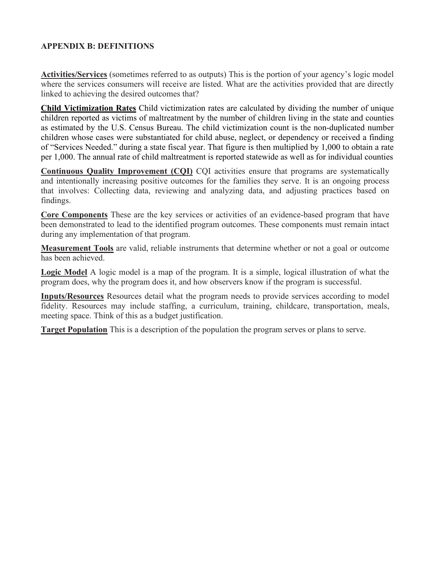#### **APPENDIX B: DEFINITIONS**

**Activities/Services** (sometimes referred to as outputs) This is the portion of your agency's logic model where the services consumers will receive are listed. What are the activities provided that are directly linked to achieving the desired outcomes that?

**Child Victimization Rates** Child victimization rates are calculated by dividing the number of unique children reported as victims of maltreatment by the number of children living in the state and counties as estimated by the U.S. Census Bureau. The child victimization count is the non-duplicated number children whose cases were substantiated for child abuse, neglect, or dependency or received a finding of "Services Needed." during a state fiscal year. That figure is then multiplied by 1,000 to obtain a rate per 1,000. The annual rate of child maltreatment is reported statewide as well as for individual counties

**Continuous Quality Improvement (CQI)** CQI activities ensure that programs are systematically and intentionally increasing positive outcomes for the families they serve. It is an ongoing process that involves: Collecting data, reviewing and analyzing data, and adjusting practices based on findings.

**Core Components** These are the key services or activities of an evidence-based program that have been demonstrated to lead to the identified program outcomes. These components must remain intact during any implementation of that program.

**Measurement Tools** are valid, reliable instruments that determine whether or not a goal or outcome has been achieved.

**Logic Model** A logic model is a map of the program. It is a simple, logical illustration of what the program does, why the program does it, and how observers know if the program is successful.

**Inputs/Resources** Resources detail what the program needs to provide services according to model fidelity. Resources may include staffing, a curriculum, training, childcare, transportation, meals, meeting space. Think of this as a budget justification.

**Target Population** This is a description of the population the program serves or plans to serve.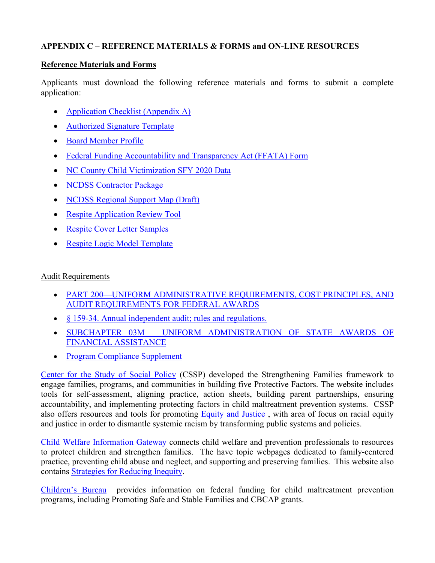#### **APPENDIX C – REFERENCE MATERIALS & FORMS and ON-LINE RESOURCES**

#### **Reference Materials and Forms**

Applicants must download the following reference materials and forms to submit a complete application:

- [Application Checklist \(Appendix A\)](https://files.nc.gov/ncdhhs/documents/files/dss/publicnotices/2022-2024-respite-services/Application-Checklist--Appendix-A-.docx)
- [Authorized Signature Template](https://files.nc.gov/ncdhhs/documents/files/dss/publicnotices/2022-2024-respite-services/Authorized-Signature-Template.doc)
- [Board Member Profile](https://files.nc.gov/ncdhhs/documents/files/dss/publicnotices/2022-2024-respite-services/Board-Member-Profile---Jan-2021.doc)
- [Federal Funding Accountability and Transparency Act \(FFATA\) Form](https://files.nc.gov/ncdhhs/documents/files/dss/publicnotices/2022-2024-respite-services/FFATA-Form.doc)
- NC [County Child Victimization SFY 2020 Data](https://files.nc.gov/ncdhhs/documents/files/dss/publicnotices/2022-2024-respite-services/NC-County-Child-Victimization-2020-Data.xlsx)
- NCDSS [Contractor Package](https://files.nc.gov/ncdhhs/documents/files/dss/publicnotices/2022-2024-respite-services/NCDSS-Contractor-Package.xls)
- [NCDSS Regional Support Map](https://files.nc.gov/ncdhhs/documents/files/dss/publicnotices/2022-2024-respite-services/NCDSS-Regional-Support-Map--Draft-.xlsx) (Draft)
- Respite [Application Review Tool](https://files.nc.gov/ncdhhs/documents/files/dss/publicnotices/2022-2024-respite-services/Respite-Application-Review-Tool.xlsx)
- [Respite Cover Letter Samples](https://files.nc.gov/ncdhhs/documents/files/dss/publicnotices/2022-2024-respite-services/Respite-Cover-Letter-Samples.docx)
- [Respite Logic Model Template](https://files.nc.gov/ncdhhs/documents/files/dss/publicnotices/2022-2024-respite-services/Respite-Logic-Model-Template.doc)

#### Audit Requirements

- PART 200—UNIFORM [ADMINISTRATIVE REQUIREMENTS, COST PRINCIPLES, AND](https://www.ecfr.gov/cgi-bin/text-idx?tpl=/ecfrbrowse/Title02/2cfr200_main_02.tpl)  [AUDIT REQUIREMENTS FOR FEDERAL AWARDS](https://www.ecfr.gov/cgi-bin/text-idx?tpl=/ecfrbrowse/Title02/2cfr200_main_02.tpl)
- $§ 159-34$ . Annual [independent audit; rules and](https://www.ncleg.net/EnactedLegislation/Statutes/PDF/BySection/Chapter_159/GS_159-34.pdf) regulations.
- SUBCHAPTER 03M [UNIFORM ADMINISTRATION OF STATE AWARDS OF](http://ncrules.state.nc.us/ncac/title%2009%20-%20governor%20and%20lt.%20governor/chapter%2003%20-%20state%20budget%20and%20management/subchapter%203m/subchapter%203m%20rules.html) [FINANCIAL ASSISTANCE](http://ncrules.state.nc.us/ncac/title%2009%20-%20governor%20and%20lt.%20governor/chapter%2003%20-%20state%20budget%20and%20management/subchapter%203m/subchapter%203m%20rules.html)
- Program Compliance Supplement

[Center for the Study of Social Policy](https://cssp.org/our-work/project/strengthening-families/) (CSSP) developed the Strengthening Families framework to engage families, programs, and communities in building five Protective Factors. The website includes tools for self-assessment, aligning practice, action sheets, building parent partnerships, ensuring accountability, and implementing protecting factors in child maltreatment prevention systems. CSSP also offers resources and tools for promoting [Equity and](https://cssp.org/our-work/project/equity-justice/) Justice , with area of focus on racial equity and justice in order to dismantle systemic racism by transforming public systems and policies.

[Child Welfare Information Gateway](https://www.childwelfare.gov/topics/preventing/) connects child welfare and prevention professionals to resources to protect children and strengthen families. The have topic webpages dedicated to family-centered practice, preventing child abuse and neglect, and supporting and preserving families. This website also contains [Strategies for Reducing Inequity.](https://www.childwelfare.gov/topics/systemwide/cultural/disproportionality/reducing/)

[Children's Bureau](https://www.acf.hhs.gov/cb/focus-areas/child-abuse-neglect) provides information on federal funding for child maltreatment prevention programs, including Promoting Safe and Stable Families and CBCAP grants.